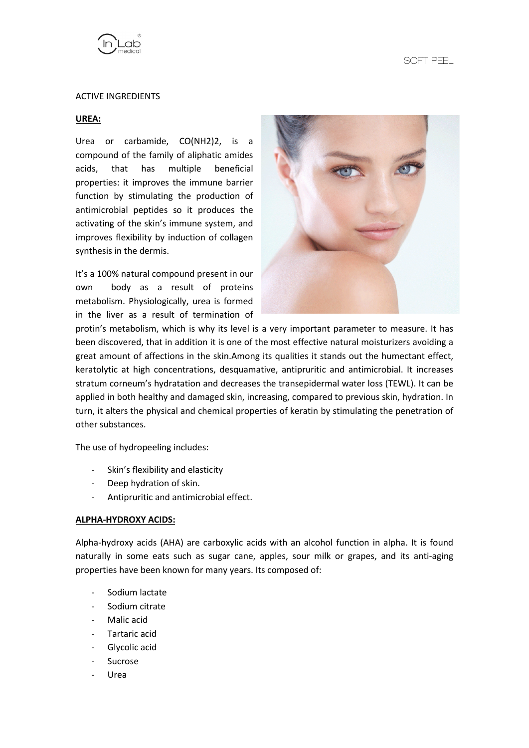

### ACTIVE INGREDIENTS

#### **UREA:**

Urea or carbamide, CO(NH2)2, is a compound of the family of aliphatic amides acids, that has multiple beneficial properties: it improves the immune barrier function by stimulating the production of antimicrobial peptides so it produces the activating of the skin's immune system, and improves flexibility by induction of collagen synthesis in the dermis.

It's a 100% natural compound present in our own body as a result of proteins metabolism. Physiologically, urea is formed in the liver as a result of termination of



protin's metabolism, which is why its level is a very important parameter to measure. It has been discovered, that in addition it is one of the most effective natural moisturizers avoiding a great amount of affections in the skin.Among its qualities it stands out the humectant effect, keratolytic at high concentrations, desquamative, antipruritic and antimicrobial. It increases stratum corneum's hydratation and decreases the transepidermal water loss (TEWL). It can be applied in both healthy and damaged skin, increasing, compared to previous skin, hydration. In turn, it alters the physical and chemical properties of keratin by stimulating the penetration of other substances.

The use of hydropeeling includes:

- Skin's flexibility and elasticity
- Deep hydration of skin.
- Antipruritic and antimicrobial effect.

### **ALPHA-HYDROXY ACIDS:**

Alpha-hydroxy acids (AHA) are carboxylic acids with an alcohol function in alpha. It is found naturally in some eats such as sugar cane, apples, sour milk or grapes, and its anti-aging properties have been known for many years. Its composed of:

- Sodium lactate
- Sodium citrate
- Malic acid
- Tartaric acid
- Glycolic acid
- **Sucrose**
- **Urea**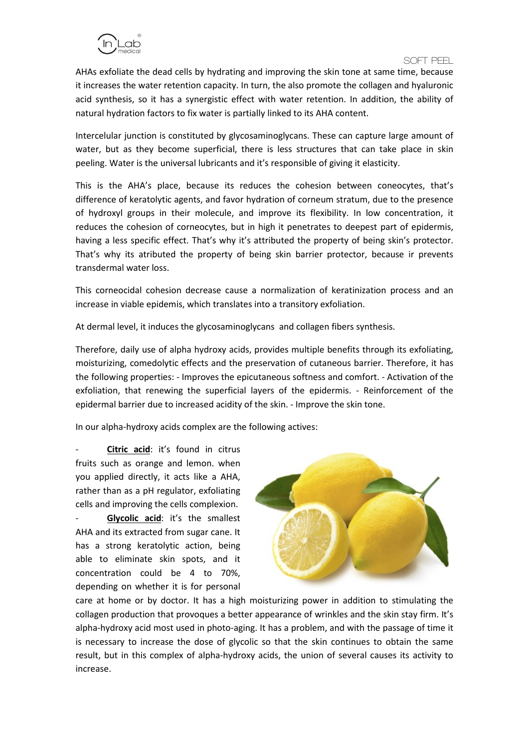## **SOFT PEEL**<br>SOFT PEEL

AHAs exfoliate the dead cells by hydrating and improving the skin tone at same time, because it increases the water retention capacity. In turn, the also promote the collagen and hyaluronic acid synthesis, so it has a synergistic effect with water retention. In addition, the ability of natural hydration factors to fix water is partially linked to its AHA content.

Intercelular junction is constituted by glycosaminoglycans. These can capture large amount of water, but as they become superficial, there is less structures that can take place in skin peeling. Water is the universal lubricants and it's responsible of giving it elasticity.

This is the AHA's place, because its reduces the cohesion between coneocytes, that's difference of keratolytic agents, and favor hydration of corneum stratum, due to the presence of hydroxyl groups in their molecule, and improve its flexibility. In low concentration, it reduces the cohesion of corneocytes, but in high it penetrates to deepest part of epidermis, having a less specific effect. That's why it's attributed the property of being skin's protector. That's why its atributed the property of being skin barrier protector, because ir prevents transdermal water loss.

This corneocidal cohesion decrease cause a normalization of keratinization process and an increase in viable epidemis, which translates into a transitory exfoliation.

At dermal level, it induces the glycosaminoglycans and collagen fibers synthesis.

Therefore, daily use of alpha hydroxy acids, provides multiple benefits through its exfoliating, moisturizing, comedolytic effects and the preservation of cutaneous barrier. Therefore, it has the following properties: - Improves the epicutaneous softness and comfort. - Activation of the exfoliation, that renewing the superficial layers of the epidermis. - Reinforcement of the epidermal barrier due to increased acidity of the skin. - Improve the skin tone.

In our alpha-hydroxy acids complex are the following actives:

**Citric acid:** it's found in citrus fruits such as orange and lemon. when you applied directly, it acts like a AHA, rather than as a pH regulator, exfoliating cells and improving the cells complexion.

Glycolic acid: it's the smallest AHA and its extracted from sugar cane. It has a strong keratolytic action, being able to eliminate skin spots, and it concentration could be 4 to 70%, depending on whether it is for personal



care at home or by doctor. It has a high moisturizing power in addition to stimulating the collagen production that provoques a better appearance of wrinkles and the skin stay firm. It's alpha-hydroxy acid most used in photo-aging. It has a problem, and with the passage of time it is necessary to increase the dose of glycolic so that the skin continues to obtain the same result, but in this complex of alpha-hydroxy acids, the union of several causes its activity to increase.